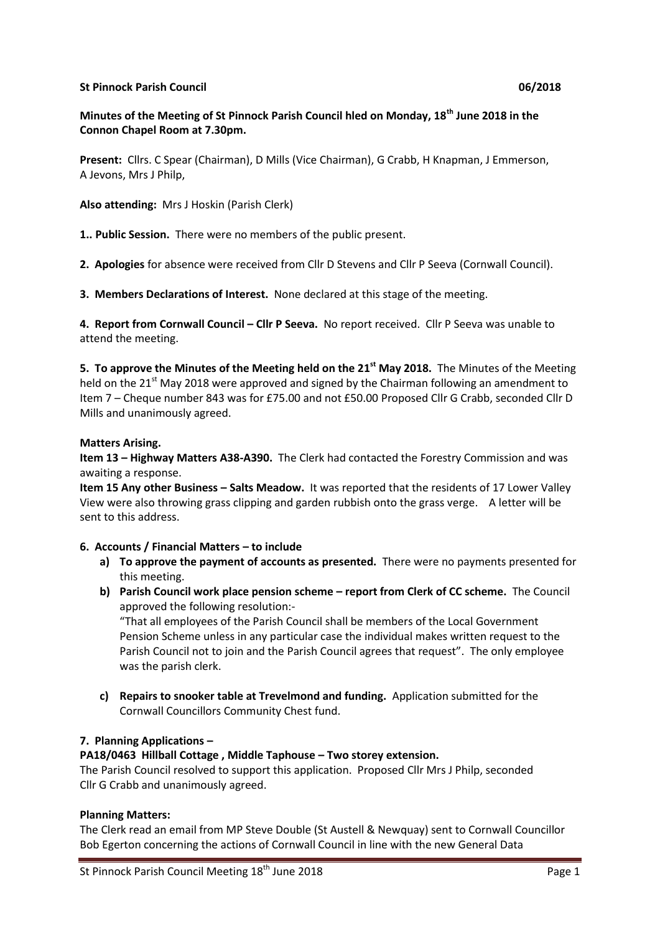#### **St Pinnock Parish Council 06/2018**

## **Minutes of the Meeting of St Pinnock Parish Council hled on Monday, 18th June 2018 in the Connon Chapel Room at 7.30pm.**

**Present:** Cllrs. C Spear (Chairman), D Mills (Vice Chairman), G Crabb, H Knapman, J Emmerson, A Jevons, Mrs J Philp,

**Also attending:** Mrs J Hoskin (Parish Clerk)

**1.. Public Session.** There were no members of the public present.

**2. Apologies** for absence were received from Cllr D Stevens and Cllr P Seeva (Cornwall Council).

**3. Members Declarations of Interest.** None declared at this stage of the meeting.

**4. Report from Cornwall Council – Cllr P Seeva.** No report received. Cllr P Seeva was unable to attend the meeting.

**5. To approve the Minutes of the Meeting held on the 21st May 2018.** The Minutes of the Meeting held on the 21<sup>st</sup> May 2018 were approved and signed by the Chairman following an amendment to Item 7 – Cheque number 843 was for £75.00 and not £50.00 Proposed Cllr G Crabb, seconded Cllr D Mills and unanimously agreed.

#### **Matters Arising.**

**Item 13 – Highway Matters A38-A390.** The Clerk had contacted the Forestry Commission and was awaiting a response.

**Item 15 Any other Business – Salts Meadow.** It was reported that the residents of 17 Lower Valley View were also throwing grass clipping and garden rubbish onto the grass verge. A letter will be sent to this address.

#### **6. Accounts / Financial Matters – to include**

- **a) To approve the payment of accounts as presented.** There were no payments presented for this meeting.
- **b) Parish Council work place pension scheme – report from Clerk of CC scheme.** The Council approved the following resolution:-

"That all employees of the Parish Council shall be members of the Local Government Pension Scheme unless in any particular case the individual makes written request to the Parish Council not to join and the Parish Council agrees that request".The only employee was the parish clerk.

**c) Repairs to snooker table at Trevelmond and funding.** Application submitted for the Cornwall Councillors Community Chest fund.

### **7. Planning Applications –**

#### **PA18/0463 Hillball Cottage , Middle Taphouse – Two storey extension.**

The Parish Council resolved to support this application. Proposed Cllr Mrs J Philp, seconded Cllr G Crabb and unanimously agreed.

#### **Planning Matters:**

The Clerk read an email from MP Steve Double (St Austell & Newquay) sent to Cornwall Councillor Bob Egerton concerning the actions of Cornwall Council in line with the new General Data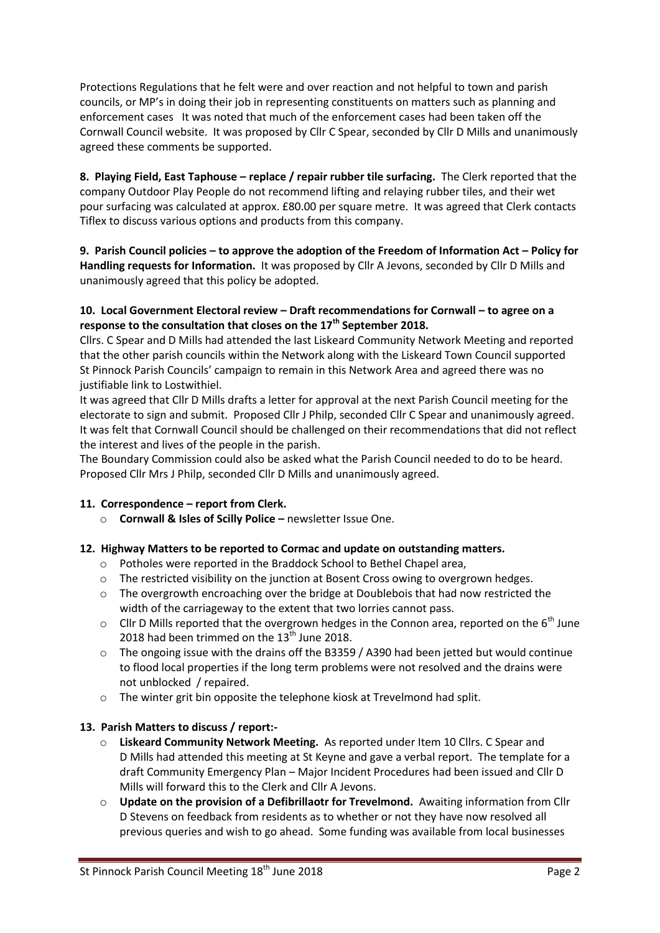Protections Regulations that he felt were and over reaction and not helpful to town and parish councils, or MP's in doing their job in representing constituents on matters such as planning and enforcement cases It was noted that much of the enforcement cases had been taken off the Cornwall Council website. It was proposed by Cllr C Spear, seconded by Cllr D Mills and unanimously agreed these comments be supported.

**8. Playing Field, East Taphouse – replace / repair rubber tile surfacing.** The Clerk reported that the company Outdoor Play People do not recommend lifting and relaying rubber tiles, and their wet pour surfacing was calculated at approx. £80.00 per square metre. It was agreed that Clerk contacts Tiflex to discuss various options and products from this company.

**9. Parish Council policies – to approve the adoption of the Freedom of Information Act – Policy for Handling requests for Information.** It was proposed by Cllr A Jevons, seconded by Cllr D Mills and unanimously agreed that this policy be adopted.

### **10. Local Government Electoral review – Draft recommendations for Cornwall – to agree on a response to the consultation that closes on the 17th September 2018.**

Cllrs. C Spear and D Mills had attended the last Liskeard Community Network Meeting and reported that the other parish councils within the Network along with the Liskeard Town Council supported St Pinnock Parish Councils' campaign to remain in this Network Area and agreed there was no justifiable link to Lostwithiel.

It was agreed that Cllr D Mills drafts a letter for approval at the next Parish Council meeting for the electorate to sign and submit. Proposed Cllr J Philp, seconded Cllr C Spear and unanimously agreed. It was felt that Cornwall Council should be challenged on their recommendations that did not reflect the interest and lives of the people in the parish.

The Boundary Commission could also be asked what the Parish Council needed to do to be heard. Proposed Cllr Mrs J Philp, seconded Cllr D Mills and unanimously agreed.

### **11. Correspondence – report from Clerk.**

o **Cornwall & Isles of Scilly Police –** newsletter Issue One.

### **12. Highway Matters to be reported to Cormac and update on outstanding matters.**

- o Potholes were reported in the Braddock School to Bethel Chapel area,
- $\circ$  The restricted visibility on the junction at Bosent Cross owing to overgrown hedges.
- $\circ$  The overgrowth encroaching over the bridge at Doublebois that had now restricted the width of the carriageway to the extent that two lorries cannot pass.
- $\circ$  Cllr D Mills reported that the overgrown hedges in the Connon area, reported on the 6<sup>th</sup> June 2018 had been trimmed on the  $13<sup>th</sup>$  June 2018.
- $\circ$  The ongoing issue with the drains off the B3359 / A390 had been jetted but would continue to flood local properties if the long term problems were not resolved and the drains were not unblocked / repaired.
- o The winter grit bin opposite the telephone kiosk at Trevelmond had split.

# **13. Parish Matters to discuss / report:-**

- o **Liskeard Community Network Meeting.** As reported under Item 10 Cllrs. C Spear and D Mills had attended this meeting at St Keyne and gave a verbal report. The template for a draft Community Emergency Plan – Major Incident Procedures had been issued and Cllr D Mills will forward this to the Clerk and Cllr A Jevons.
- o **Update on the provision of a Defibrillaotr for Trevelmond.** Awaiting information from Cllr D Stevens on feedback from residents as to whether or not they have now resolved all previous queries and wish to go ahead. Some funding was available from local businesses